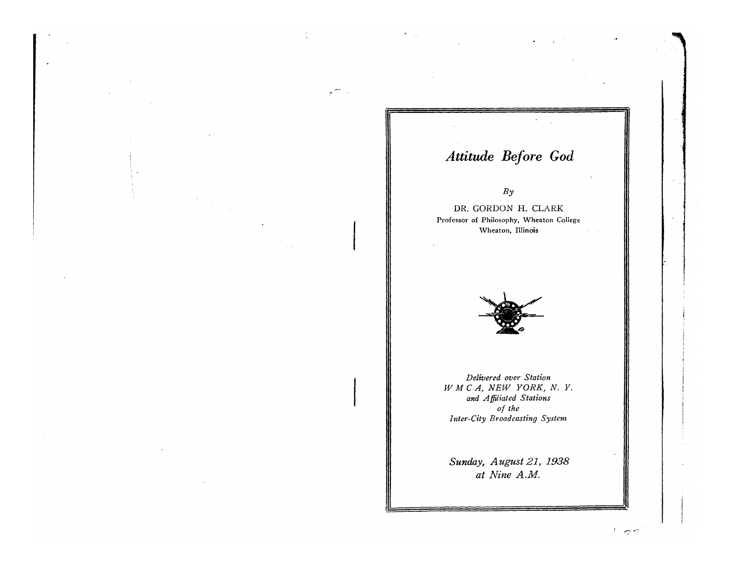# *Attitude Before God*

### *By*

*DR.* GORDON H. CLARK Professor of Philosophy, Wheaton College \Vheaton, Illinois



*Delivered over Station W M* C *A, NEW YORK, N. Y. and Affiliated Stations of the Inter-City Broadcasting System* 

*Sunday, August* 21, 1938 *at Nine A.M.* 

 $\Gamma$  22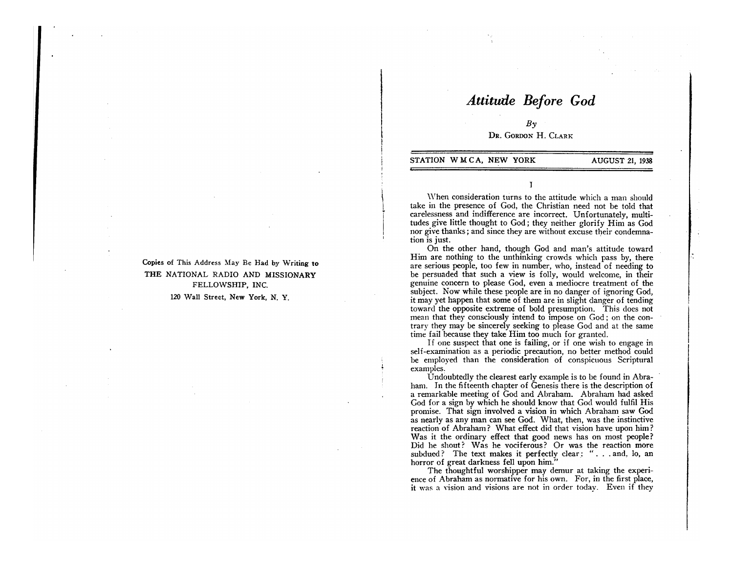## *Attitude Before God*

 $Bv$ DR. GoRDON H. CLARK

#### STATION WMCA, NEW YORK AUGUST 21, 1938

 $\vert$ I i I I

\Vhen consideration turns to the attitude which a man should take in the presence of God, the Christian need not be told that carelessness and indifference are incorrect. Unfortunately, multitudes give little thought to God; they neither glorify Him as God nor give thanks; and since they are without excuse their condemnation is just.

I

On the other hand, though God and man's attitude toward Him are nothing to the unthinking crowds which pass by, there are serious people, too few in number, who, instead of needing to be persuaded that such a view is folly, would welcome, in their genuine concern to please God, even a mediocre treatment of the subject. Now while these people are in no danger of ignoring God, it may yet happen that some of them are in slight danger of tending toward the opposite extreme of bold presumption. This does not mean that they consciously intend to impose on God; on the contrary they may be sincerely seeking to please God and at the same time fail because they take Him too much for granted.

If one suspect that one is failing, or if one wish to engage in self-examination as a periodic precaution, no better method could be employed than the consideration of conspicuous Scriptural examples.

Undoubtedly the clearest early example is to be found in Abraham. In the fifteenth chapter of Genesis there is the description of a remarkable meeting of God and Abraham. Abraham had asked God for a sign by which he should know that God would fulfil His promise. That sign involved a vision in which Abraham saw God as nearly as any man can see God. What, then, was the instinctive reaction of Abraham? What effect did that vision have upon him? Was it the ordinary effect that good news has on most people? Did he shout? Was he vociferous? Or was the reaction more subdued? The text makes it perfectly clear: "... and, lo, an horror of great darkness fell upon him."

The thoughtful worshipper may demur at taking the experience of Abraham as normative for his own. For, in the first place, it was a yision and visions are not in order today. Even if they

Copies of This Address May Be Had by Writing to THE NATIONAL RADIO AND MISSIONARY FELLOWSHIP, INC.

120 Wall Street, New York, N. Y.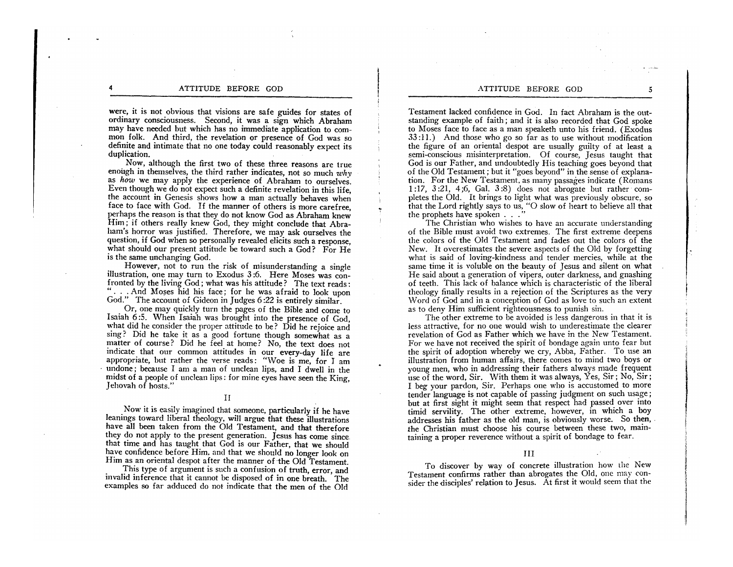were, it is not obvious that visions are safe guides for states of ordinary consciousness. Second, it was a sign which Abraham may have needed but which has no immediate application to common folk. And third, the revelation or presence of God was so definite and intimate that no one today could reasonably expect its duplication.

Now, although the first two of these three reasons are true enough in themselves, the third rather indicates, not so much *why*  as *how* we may apply the experience of Abraham to ourselves. Even though we do not expect such a definite revelation in this life, the account in Genesis shows how a man actually behaves when face to face with God. If the manner of others is more carefree, perhaps the reason is that they do not know God as Abraham knew Him; if others really knew God, they might conclude that Abraham's horror was justified. Therefore, we may ask ourselves the question, if God when so personally revealed elicits such a response, what should our present attitude be toward such a God? For He is the same unchanging God.

.. ,

However, not to run the risk of misunderstanding a single illustration, one may turn to Exodus 3 :6. Here Moses was confronted by the living God; what was his attitude? The text reads: "... And Moses hid his face; for he was afraid to look upon God." The account of Gideon in Judges 6 :22 is entirely similar.

Or, one may quickly turn the pages of the Bible and come to Isaiah 6 :5. When Isaiah was brought into the presence of God, what did he consider the proper attitude to be? Did he rejoice and sing? Did he take it as a good fortune though somewhat as a matter of course? Did he feel at home? No, the text does not indicate that our common attitudes in our every-day life are appropriate, but rather the verse reads: "Woe is me, for I am undone; because I am a man of unclean lips, and I dwell in the midst of a people of unclean lips : for mine eyes have seen the King, Jehovah of hosts."

#### II

Now it is easily imagined that someone, particularly if he have leanings toward liberal theology, will argue that these illustrations have all been taken from the Old Testament, and that therefore they do not apply to the present generation. Jesus has come since that time and has taught that God is our Father, that we should have confidence before Him, and that we should no longer look on Him as an oriental despot after the manner of ·the Old Testament.

This type of argument is such a confusion of truth, error, and invalid inference that it cannot be disposed of in one breath. The examples so far adduced do not indicate that the men of the Old

Testament lacked confidence in God. In fact Abraham is the outstanding example of faith; and it is also recorded that God spoke to Moses face to face as a man speaketh unto his friend. (Exodus  $33:11.$ ) And those who go so far as to use without modification the figure of an oriental despot are usually guilty of at least a semi-conscious misinterpretation. Of course, Jesus taught that God is our Father, and undoubtedly His teaching goes beyond that of the Old Testament; but it "goes beyond" in the sense of explanation. For the New Testament, as many passages indicate (Romans 1 :17, 3 :21, 4;6, GaL 3 :8) does not abrogate but rather completes the Old. It brings to light what was previously obscure, so that the Lord rightly says to us, "0 slow of heart to believe all that the prophets have spoken . . ."

The Christian who wishes to have an accurate understanding of the Bible must avoid two extremes. The first extreme deepens the colors of the Old Testament and fades out the colors of the New. It overestimates the severe aspects of the Old by forgetting what is said of loving-kindness and tender mercies, while at the same time it is voluble on the beauty of Jesus and silent on what He said about a generation of vipers, outer darkness, and gnashing of teeth. This lack of balance which is characteristic of the liberal theology finally results in a rejection of the Scriptures as the very Word of God and in a conception of God as love to such an extent as to deny Him sufficient righteousness to punish sin.

The other extreme to be avoided is less dangerous in that it is less attractive, for no one would wish to underestimate the clearer revelation of God as Father which we have in the New Testament. For we have not received the spirit of bondage again unto fear but the spirit of adoption whereby we cry, Abba, Father. To use an illustration from human affairs, there comes to mind two boys or young men, who in addressing their fathers always made frequent use of the word, Sir. With them it was always, Yes, Sir; No, Sir; I beg your pardon, Sir. Perhaps one who is accustomed to more tender language is not capable of passing judgment on such usage; but at first sight it might seem that respect had passed over mto timid servility. The other extreme, however, in which a boy addresses his father as the old man, is obviously worse. So then, the Christian must choose his course between these two, maintaining a proper reverence without a spirit of bondage to fear.

#### III

To discover by way of concrete illustration how the New Testament confirms rather than abrogates the Old, onc may consider the disciples' relation to Jesus. At first it would seem that the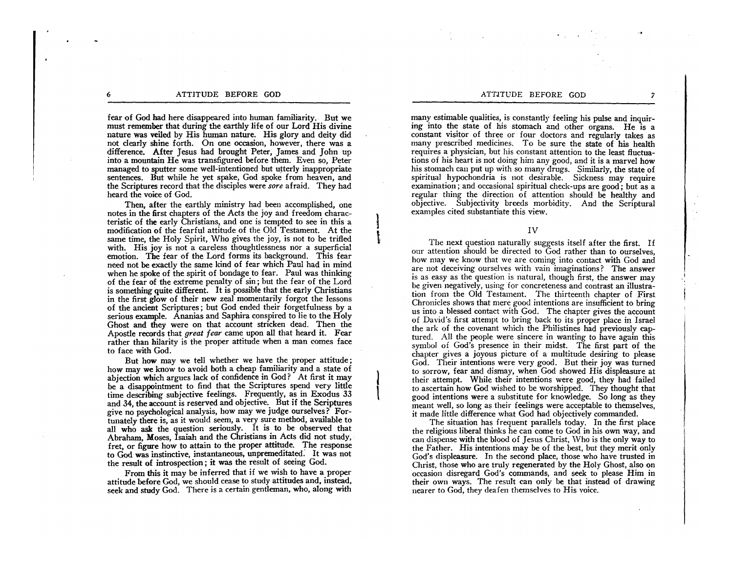fear of God had here disappeared into human familiarity. But we must remember that during the earthly life of our Lord His divine nature was veiled by His human nature. His glory and deity did not clearly shine forth. On one occasion, however, there was a difference. After Jesus had brought Peter, James and John up into a mountain He was transfigured before them. Even so, Peter managed to sputter some well-intentioned but utterly inappropriate sentences. But while he yet spake, God spoke from heaven, and the Scriptures record that the disciples were *sore* afraid. They had heard the voice of God.

Then, after the earthly ministry had been accomplished, one notes in the first chapters of the Acts the joy and freedom characteristic of the early Christians, and one is tempted to see in this a modification of the fearful attitude of the Old Testament. At the same time, the Holy Spirit, Who gives the joy, is not to be trifled with. His joy is not a careless thoughtlessness nor a superficial emotion. The fear of the Lord forms its background. This fear need not be exactly the same kind of fear which Paul had in mind when he spoke of the spirit of bondage to fear. Paul was thinking of the fear of the extreme penalty of sin; but the fear of the Lord is something quite different. It is possible that the early Christians in the first glow of their new zeal momentarily forgot the lessons of the ancient Scriptures; but God ended their forgetfulness by a serious example. Ananias and Saphira conspired to lie to the Holy Ghost and they were on that account stricken dead. Then the Apostle records that *great fear* came upon all that heard it. Fear rather than hilarity is the proper attitude when a man comes face to face with God.

But how may we tell whether we have the proper attitude; how may we know to avoid both a cheap familiarity and a state of abjection which argues lack of confidence in God? At first it may be a disappointment to find that the Scriptures spend very little time describing subjective feelings. Frequently, as in Exodus 33 and 34, the account is reserved and objective. But if the Scriptures give no psychological analysis, how may we judge ourselves? Fortunately there is, as it would seem, a very sure method, available to all who ask the question seriously. It is to. be observed that Abraham, Moses, Isaiah and the Christians in Acts did not study, fret, or figure how to attain to the proper attitude. The response to God was instinctive, instantaneous, unpremeditated: It was not the result of introspection; it was the result of seeing God.

From this it may be inferred that if we wish to have a proper attitude before God, we should cease to study attitudes and, instead, seek and study God. There is a certain gentleman, who, along with

#### ATTITUDE BEFORE GOD 7

many estimable qualities, is constantly feeling his pulse and inquiring into the state of his stomach and other organs. He is a constant visitor of three or four doctors and regularly takes as many prescribed medicines. To be sure the state of his health requires a physician, but his constant attention to the least fluctuations of his heart is not doing him any good, and it is a marvel how his stomach can put up with so many drugs. Similarly, the state of spiritual hypochondria is not desirable. Sickness may require examination; and occasional spiritual check-ups are good; but as a regular thing the direction of attention should be healthy and objective. Subjectivity breeds morbidity. And the Scriptural examples cited substantiate this view.

IV

I t

|<br>|  $\mathbf{I}$ 

The next question naturally suggests itself after the first. If our attention should be directed to God rather than to ourselves, how may we know that we are coming into contact with God and are not deceiving ourselves with vain imaginations? The answer is as easy as the question is natural, though first, the answer may be given negatively, using for concreteness and contrast an illustration from the Old Testament. The thirteenth chapter of First Chronicles shows that mere good intentions are insufficient to bring us into a blessed contact with God. The chapter gives the account of David's first attempt to bring back to its proper place in Israel the ark of the covenant which the Philistines had previously captured. All the people were sincere in wanting to have again this symbol of God's presence in their midst. The first part of the chapter gives a joyous picture of a multitude desiring to please God. Their intentions were very good. But their joy was turned to sorrow, fear and dismay, when God showed His displeasure at their attempt. While their intentions were good, they had failed to ascertain how God wished to be worshipped. They thought that good intentions were a substitute for knowledge. So long as they meant well, so long as their feelings were acceptable to themselves, it made little difference what God had objectively commanded.

The situation has frequent parallels today. In the first place the religious liberal thinks he can come to God in his own way, and can dispense with the blood of Jesus Christ, 'Vho is the only way to the Father. His intentions may be of the best, but they merit only God's displeasure. In the second place, those who have trusted in Christ, those who are truly regenerated by the Holy Ghost, also on occasion disregard God's commands, and seek to please Him in their own ways. The result can only be that instead of drawing nearer to God, they deafen themselves to His voice.